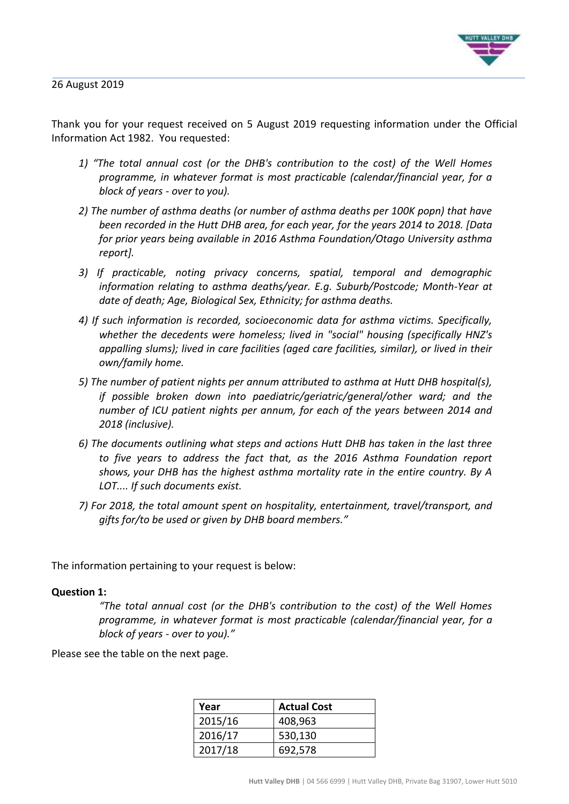

Thank you for your request received on 5 August 2019 requesting information under the Official Information Act 1982. You requested:

- *1) "The total annual cost (or the DHB's contribution to the cost) of the Well Homes programme, in whatever format is most practicable (calendar/financial year, for a block of years - over to you).*
- *2) The number of asthma deaths (or number of asthma deaths per 100K popn) that have been recorded in the Hutt DHB area, for each year, for the years 2014 to 2018. [Data for prior years being available in 2016 Asthma Foundation/Otago University asthma report].*
- *3) If practicable, noting privacy concerns, spatial, temporal and demographic information relating to asthma deaths/year. E.g. Suburb/Postcode; Month-Year at date of death; Age, Biological Sex, Ethnicity; for asthma deaths.*
- *4) If such information is recorded, socioeconomic data for asthma victims. Specifically, whether the decedents were homeless; lived in "social" housing (specifically HNZ's appalling slums); lived in care facilities (aged care facilities, similar), or lived in their own/family home.*
- *5) The number of patient nights per annum attributed to asthma at Hutt DHB hospital(s), if possible broken down into paediatric/geriatric/general/other ward; and the number of ICU patient nights per annum, for each of the years between 2014 and 2018 (inclusive).*
- *6) The documents outlining what steps and actions Hutt DHB has taken in the last three to five years to address the fact that, as the 2016 Asthma Foundation report shows, your DHB has the highest asthma mortality rate in the entire country. By A LOT.... If such documents exist.*
- *7) For 2018, the total amount spent on hospitality, entertainment, travel/transport, and gifts for/to be used or given by DHB board members."*

The information pertaining to your request is below:

## **Question 1:**

*"The total annual cost (or the DHB's contribution to the cost) of the Well Homes programme, in whatever format is most practicable (calendar/financial year, for a block of years - over to you)."*

Please see the table on the next page.

| Year    | <b>Actual Cost</b> |
|---------|--------------------|
| 2015/16 | 408,963            |
| 2016/17 | 530,130            |
| 2017/18 | 692,578            |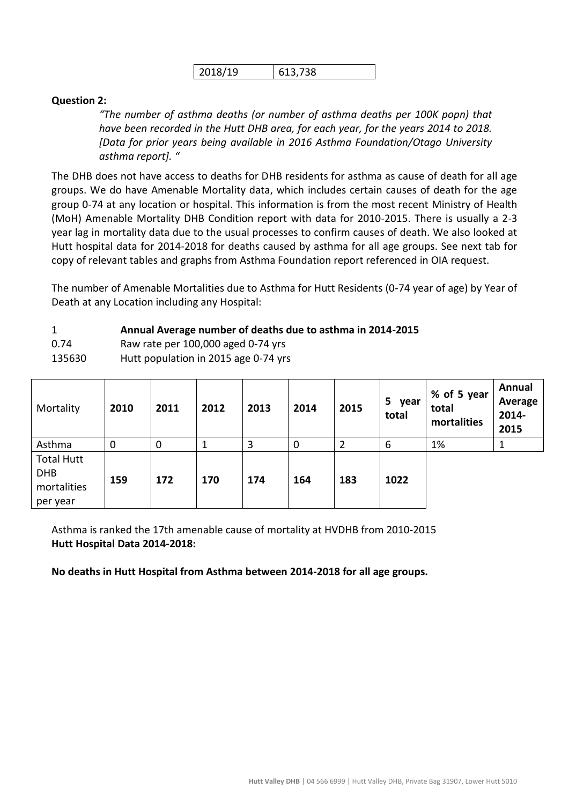| 2018/19 | 613,738 |
|---------|---------|
|---------|---------|

# **Question 2:**

*"The number of asthma deaths (or number of asthma deaths per 100K popn) that have been recorded in the Hutt DHB area, for each year, for the years 2014 to 2018. [Data for prior years being available in 2016 Asthma Foundation/Otago University asthma report]. "*

The DHB does not have access to deaths for DHB residents for asthma as cause of death for all age groups. We do have Amenable Mortality data, which includes certain causes of death for the age group 0-74 at any location or hospital. This information is from the most recent Ministry of Health (MoH) Amenable Mortality DHB Condition report with data for 2010-2015. There is usually a 2-3 year lag in mortality data due to the usual processes to confirm causes of death. We also looked at Hutt hospital data for 2014-2018 for deaths caused by asthma for all age groups. See next tab for copy of relevant tables and graphs from Asthma Foundation report referenced in OIA request.

The number of Amenable Mortalities due to Asthma for Hutt Residents (0-74 year of age) by Year of Death at any Location including any Hospital:

## 1 **Annual Average number of deaths due to asthma in 2014-2015**

0.74 Raw rate per 100,000 aged 0-74 yrs

135630 Hutt population in 2015 age 0-74 yrs

| Mortality                                                  | 2010        | 2011        | 2012 | 2013 | 2014        | 2015 | 5<br>year<br>total | % of 5 year<br>total<br>mortalities | Annual<br>Average<br>2014-<br>2015 |
|------------------------------------------------------------|-------------|-------------|------|------|-------------|------|--------------------|-------------------------------------|------------------------------------|
| Asthma                                                     | $\mathbf 0$ | $\mathbf 0$ | 1    | 3    | $\mathbf 0$ |      | 6                  | 1%                                  | ᅩ                                  |
| <b>Total Hutt</b><br><b>DHB</b><br>mortalities<br>per year | 159         | 172         | 170  | 174  | 164         | 183  | 1022               |                                     |                                    |

Asthma is ranked the 17th amenable cause of mortality at HVDHB from 2010-2015 **Hutt Hospital Data 2014-2018:** 

**No deaths in Hutt Hospital from Asthma between 2014-2018 for all age groups.**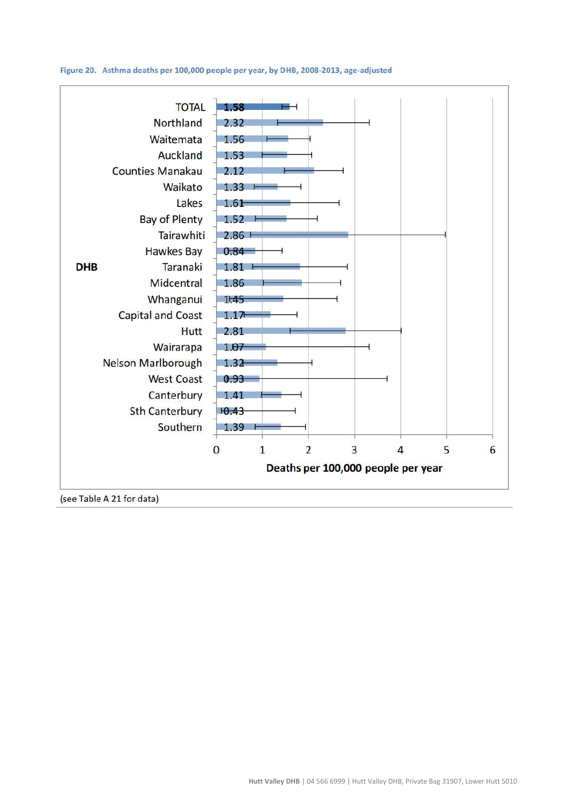Figure 20. Asthma deaths per 100,000 people per year, by DHB, 2008-2013, age-adjusted

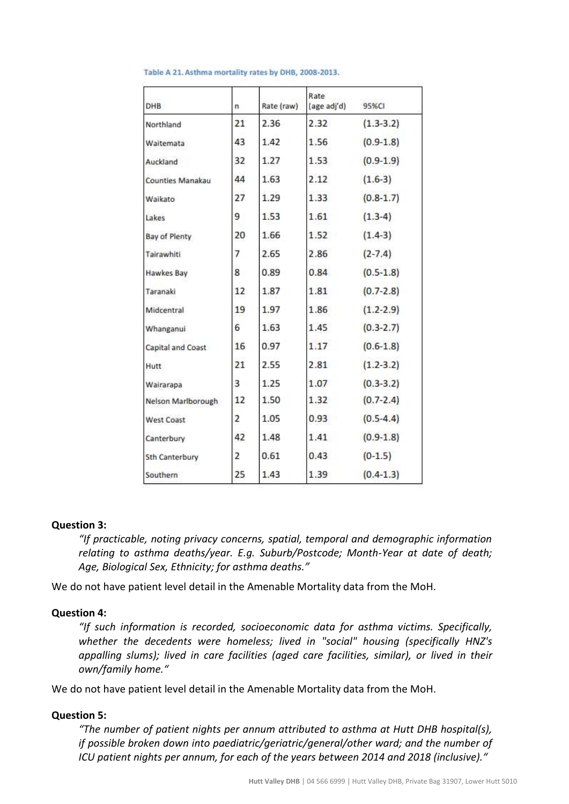| <b>DHB</b>              | n              | Rate (raw) | Rate<br>(age adj'd) | 95%CI         |  |
|-------------------------|----------------|------------|---------------------|---------------|--|
| Northland               | 21             | 2.36       | 2.32                | $(1.3 - 3.2)$ |  |
| Waltemata               | 43             | 1.42       | 1.56                | $(0.9-1.8)$   |  |
| Auckland                | 32             | 1.27       | 1.53                | $(0.9-1.9)$   |  |
| <b>Counties Manakau</b> | 44             | 1.63       | 2.12                | $(1.6-3)$     |  |
| Walkato                 | 27             | 1.29       | 1.33                | $(0.8-1.7)$   |  |
| Lakes                   | 9              | 1.53       | 1.61                | $(1.3-4)$     |  |
| Bay of Plenty           | 20             | 1.66       | 1.52                | $(1.4-3)$     |  |
| Tairawhiti              | 7              | 2.65       | 2.86                | $(2 - 7.4)$   |  |
| <b>Hawkes Bay</b>       | 8              | 0.89       | 0.84                | $(0.5 - 1.8)$ |  |
| Taranaki                | 12             | 1.87       | 1.81                | $(0.7 - 2.8)$ |  |
| Midcentral              | 19             | 1.97       | 1.86                | $(1.2 - 2.9)$ |  |
| Whanganui               | 6              | 1.63       | 1.45                | $(0.3 - 2.7)$ |  |
| Capital and Coast       | 16             | 0.97       | 1.17                | $(0.6 - 1.8)$ |  |
| Hutt                    | 21             | 2.55       | 2.81                | $(1.2 - 3.2)$ |  |
| Wairarapa               | 3              | 1.25       | 1.07                | $(0.3 - 3.2)$ |  |
| Nelson Marlborough      | 12             | 1.50       | 1.32                | $(0.7 - 2.4)$ |  |
| West Coast              | 2              | 1.05       | 0.93                | $(0.5 - 4.4)$ |  |
| Canterbury              | 42             | 1.48       | 1.41                | $(0.9-1.8)$   |  |
| <b>Sth Canterbury</b>   | $\overline{2}$ | 0.61       | 0.43                | $(0-1.5)$     |  |
| Southern                | 25             | 1.43       | 1.39                | $(0.4 - 1.3)$ |  |

#### Table A 21. Asthma mortality rates by DHB, 2008-2013.

## **Question 3:**

*"If practicable, noting privacy concerns, spatial, temporal and demographic information relating to asthma deaths/year. E.g. Suburb/Postcode; Month-Year at date of death; Age, Biological Sex, Ethnicity; for asthma deaths."*

We do not have patient level detail in the Amenable Mortality data from the MoH.

#### **Question 4:**

*"If such information is recorded, socioeconomic data for asthma victims. Specifically, whether the decedents were homeless; lived in "social" housing (specifically HNZ's appalling slums); lived in care facilities (aged care facilities, similar), or lived in their own/family home."*

We do not have patient level detail in the Amenable Mortality data from the MoH.

#### **Question 5:**

*"The number of patient nights per annum attributed to asthma at Hutt DHB hospital(s), if possible broken down into paediatric/geriatric/general/other ward; and the number of ICU patient nights per annum, for each of the years between 2014 and 2018 (inclusive)."*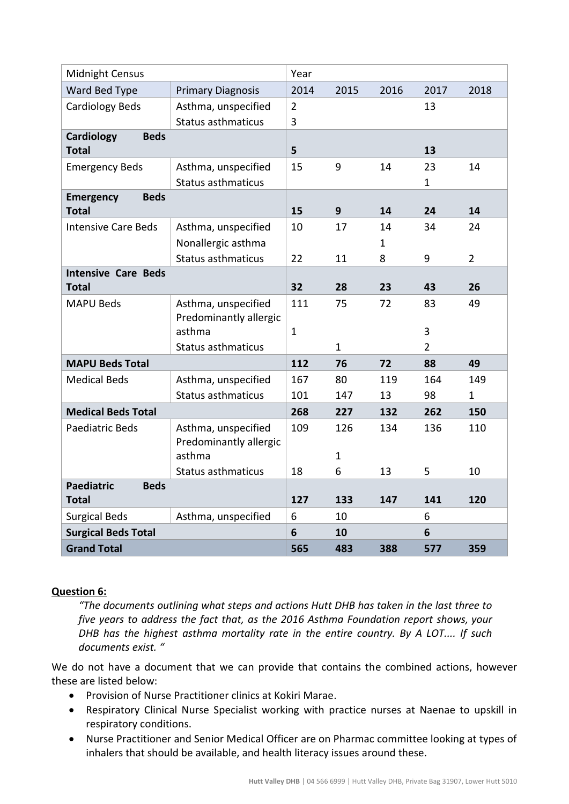| <b>Midnight Census</b>                           |                           |                |              |      |                |                |
|--------------------------------------------------|---------------------------|----------------|--------------|------|----------------|----------------|
| Ward Bed Type                                    | <b>Primary Diagnosis</b>  | 2014           | 2015         | 2016 | 2017           | 2018           |
| <b>Cardiology Beds</b><br>Asthma, unspecified    |                           | $\overline{2}$ |              |      | 13             |                |
|                                                  | <b>Status asthmaticus</b> | 3              |              |      |                |                |
| <b>Beds</b><br>Cardiology                        |                           |                |              |      |                |                |
| <b>Total</b>                                     |                           | 5              |              |      | 13             |                |
| <b>Emergency Beds</b>                            | Asthma, unspecified       | 15             | 9            | 14   | 23             | 14             |
|                                                  | <b>Status asthmaticus</b> |                |              |      | 1              |                |
| <b>Beds</b><br><b>Emergency</b>                  |                           |                |              |      |                |                |
| <b>Total</b>                                     |                           | 15             | 9            | 14   | 24             | 14             |
| <b>Intensive Care Beds</b>                       | Asthma, unspecified       | 10             | 17           | 14   | 34             | 24             |
|                                                  | Nonallergic asthma        |                |              | 1    |                |                |
|                                                  | <b>Status asthmaticus</b> | 22             | 11           | 8    | 9              | $\overline{2}$ |
| <b>Intensive Care Beds</b>                       |                           |                |              |      |                |                |
| <b>Total</b>                                     |                           | 32             | 28           | 23   | 43             | 26             |
| <b>MAPU Beds</b>                                 | Asthma, unspecified       | 111            | 75           | 72   | 83             | 49             |
|                                                  | Predominantly allergic    |                |              |      |                |                |
|                                                  | asthma                    | $\mathbf{1}$   |              |      | 3              |                |
|                                                  | <b>Status asthmaticus</b> |                | $\mathbf{1}$ |      | $\overline{2}$ |                |
| <b>MAPU Beds Total</b>                           |                           | 112            | 76           | 72   | 88             | 49             |
| <b>Medical Beds</b>                              | Asthma, unspecified       | 167            | 80           | 119  | 164            | 149            |
|                                                  | <b>Status asthmaticus</b> | 101            | 147          | 13   | 98             | $\mathbf{1}$   |
| <b>Medical Beds Total</b>                        |                           | 268            | 227          | 132  | 262            | 150            |
| <b>Paediatric Beds</b>                           | Asthma, unspecified       | 109            | 126          | 134  | 136            | 110            |
|                                                  | Predominantly allergic    |                |              |      |                |                |
|                                                  | asthma                    |                | $\mathbf{1}$ |      |                |                |
|                                                  | Status asthmaticus        | 18             | 6            | 13   | 5              | 10             |
| <b>Paediatric</b><br><b>Beds</b><br><b>Total</b> |                           | 127            | 133          | 147  | 141            | 120            |
| <b>Surgical Beds</b>                             | Asthma, unspecified       | 6              | 10           |      | 6              |                |
| <b>Surgical Beds Total</b>                       |                           | 6              | 10           |      | 6              |                |
| <b>Grand Total</b>                               |                           | 565            | 483          | 388  | 577            | 359            |

# **Question 6:**

*"The documents outlining what steps and actions Hutt DHB has taken in the last three to five years to address the fact that, as the 2016 Asthma Foundation report shows, your DHB has the highest asthma mortality rate in the entire country. By A LOT.... If such documents exist. "*

We do not have a document that we can provide that contains the combined actions, however these are listed below:

- Provision of Nurse Practitioner clinics at Kokiri Marae.
- Respiratory Clinical Nurse Specialist working with practice nurses at Naenae to upskill in respiratory conditions.
- Nurse Practitioner and Senior Medical Officer are on Pharmac committee looking at types of inhalers that should be available, and health literacy issues around these.